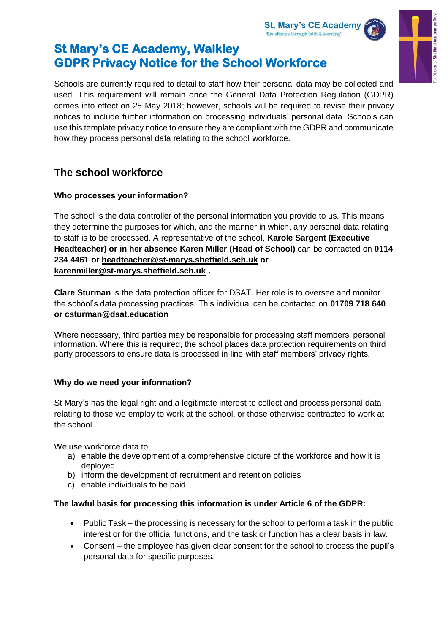



# **St Mary's CE Academy, Walkley GDPR Privacy Notice for the School Workforce**

Schools are currently required to detail to staff how their personal data may be collected and used. This requirement will remain once the General Data Protection Regulation (GDPR) comes into effect on 25 May 2018; however, schools will be required to revise their privacy notices to include further information on processing individuals' personal data. Schools can use this template privacy notice to ensure they are compliant with the GDPR and communicate how they process personal data relating to the school workforce.

# **The school workforce**

## **Who processes your information?**

The school is the data controller of the personal information you provide to us. This means they determine the purposes for which, and the manner in which, any personal data relating to staff is to be processed. A representative of the school, **Karole Sargent (Executive Headteacher) or in her absence Karen Miller (Head of School)** can be contacted on **0114 234 4461 or [headteacher@st-marys.sheffield.sch.uk](mailto:headteacher@st-marys.sheffield.sch.uk) or [karenmiller@st-marys.sheffield.sch.uk](mailto:karenmiller@st-marys.sheffield.sch.uk) .** 

**Clare Sturman** is the data protection officer for DSAT. Her role is to oversee and monitor the school's data processing practices. This individual can be contacted on **01709 718 640 or csturman@dsat.education**

Where necessary, third parties may be responsible for processing staff members' personal information. Where this is required, the school places data protection requirements on third party processors to ensure data is processed in line with staff members' privacy rights.

# **Why do we need your information?**

St Mary's has the legal right and a legitimate interest to collect and process personal data relating to those we employ to work at the school, or those otherwise contracted to work at the school.

We use workforce data to:

- a) enable the development of a comprehensive picture of the workforce and how it is deployed
- b) inform the development of recruitment and retention policies
- c) enable individuals to be paid.

# **The lawful basis for processing this information is under Article 6 of the GDPR:**

- Public Task the processing is necessary for the school to perform a task in the public interest or for the official functions, and the task or function has a clear basis in law.
- Consent the employee has given clear consent for the school to process the pupil's personal data for specific purposes.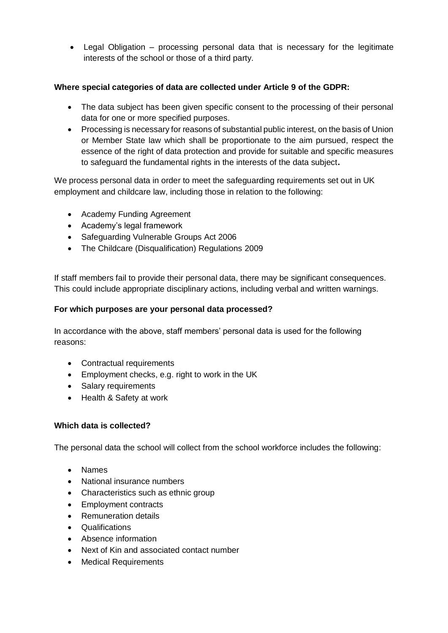• Legal Obligation – processing personal data that is necessary for the legitimate interests of the school or those of a third party.

## **Where special categories of data are collected under Article 9 of the GDPR:**

- The data subject has been given specific consent to the processing of their personal data for one or more specified purposes.
- Processing is necessary for reasons of substantial public interest, on the basis of Union or Member State law which shall be proportionate to the aim pursued, respect the essence of the right of data protection and provide for suitable and specific measures to safeguard the fundamental rights in the interests of the data subject**.**

We process personal data in order to meet the safeguarding requirements set out in UK employment and childcare law, including those in relation to the following:

- Academy Funding Agreement
- Academy's legal framework
- Safeguarding Vulnerable Groups Act 2006
- The Childcare (Disqualification) Regulations 2009

If staff members fail to provide their personal data, there may be significant consequences. This could include appropriate disciplinary actions, including verbal and written warnings.

### **For which purposes are your personal data processed?**

In accordance with the above, staff members' personal data is used for the following reasons:

- Contractual requirements
- Employment checks, e.g. right to work in the UK
- Salary requirements
- Health & Safety at work

## **Which data is collected?**

The personal data the school will collect from the school workforce includes the following:

- Names
- National insurance numbers
- Characteristics such as ethnic group
- Employment contracts
- Remuneration details
- Qualifications
- Absence information
- Next of Kin and associated contact number
- Medical Requirements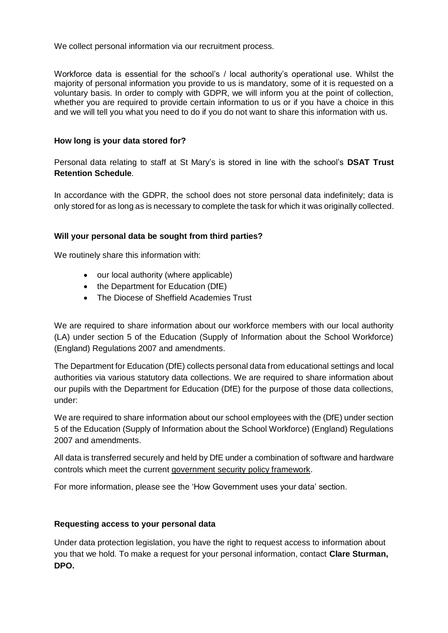We collect personal information via our recruitment process.

Workforce data is essential for the school's / local authority's operational use. Whilst the majority of personal information you provide to us is mandatory, some of it is requested on a voluntary basis. In order to comply with GDPR, we will inform you at the point of collection, whether you are required to provide certain information to us or if you have a choice in this and we will tell you what you need to do if you do not want to share this information with us.

### **How long is your data stored for?**

Personal data relating to staff at St Mary's is stored in line with the school's **DSAT Trust Retention Schedule**.

In accordance with the GDPR, the school does not store personal data indefinitely; data is only stored for as long as is necessary to complete the task for which it was originally collected.

### **Will your personal data be sought from third parties?**

We routinely share this information with:

- our local authority (where applicable)
- the Department for Education (DfE)
- The Diocese of Sheffield Academies Trust

We are required to share information about our workforce members with our local authority (LA) under section 5 of the Education (Supply of Information about the School Workforce) (England) Regulations 2007 and amendments.

The Department for Education (DfE) collects personal data from educational settings and local authorities via various statutory data collections. We are required to share information about our pupils with the Department for Education (DfE) for the purpose of those data collections, under:

We are required to share information about our school employees with the (DfE) under section 5 of the Education (Supply of Information about the School Workforce) (England) Regulations 2007 and amendments.

All data is transferred securely and held by DfE under a combination of software and hardware controls which meet the current [government security policy framework.](https://www.gov.uk/government/publications/security-policy-framework)

For more information, please see the 'How Government uses your data' section.

#### **Requesting access to your personal data**

Under data protection legislation, you have the right to request access to information about you that we hold. To make a request for your personal information, contact **Clare Sturman, DPO.**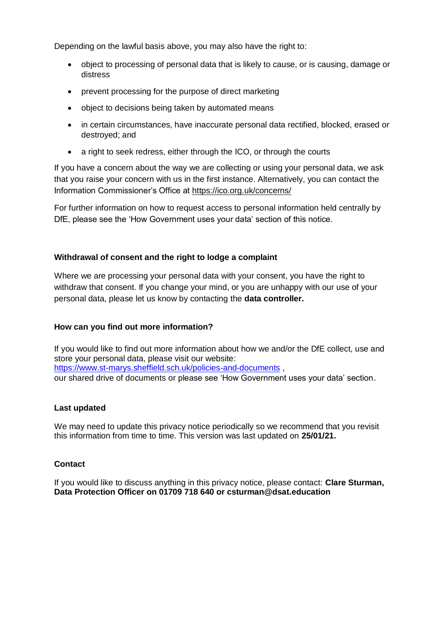Depending on the lawful basis above, you may also have the right to:

- object to processing of personal data that is likely to cause, or is causing, damage or distress
- prevent processing for the purpose of direct marketing
- object to decisions being taken by automated means
- in certain circumstances, have inaccurate personal data rectified, blocked, erased or destroyed; and
- a right to seek redress, either through the ICO, or through the courts

If you have a concern about the way we are collecting or using your personal data, we ask that you raise your concern with us in the first instance. Alternatively, you can contact the Information Commissioner's Office at<https://ico.org.uk/concerns/>

For further information on how to request access to personal information held centrally by DfE, please see the 'How Government uses your data' section of this notice.

#### **Withdrawal of consent and the right to lodge a complaint**

Where we are processing your personal data with your consent, you have the right to withdraw that consent. If you change your mind, or you are unhappy with our use of your personal data, please let us know by contacting the **data controller.**

#### **How can you find out more information?**

If you would like to find out more information about how we and/or the DfE collect, use and store your personal data, please visit our website: <https://www.st-marys.sheffield.sch.uk/policies-and-documents> , our shared drive of documents or please see 'How Government uses your data' section.

#### **Last updated**

We may need to update this privacy notice periodically so we recommend that you revisit this information from time to time. This version was last updated on **25/01/21.**

#### **Contact**

If you would like to discuss anything in this privacy notice, please contact: **Clare Sturman, Data Protection Officer on 01709 718 640 or csturman@dsat.education**